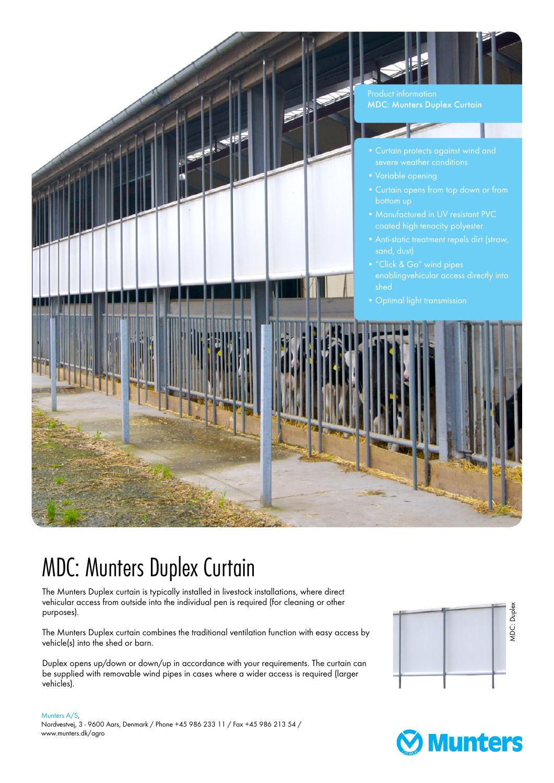

## MDC: Munters Duplex Curtain

The Munters Duplex curtain is typically installed in livestock installations, where direct vehicular access from outside into the individual pen is required (for cleaning or other purposes).

The Munters Duplex curtain combines the traditional ventilation function with easy access by vehicle(s) into the shed or barn.

Duplex opens up/down or down/up in accordance with your requirements. The curtain can be supplied with removable wind pipes in cases where a wider access is required (larger vehicles).



## Munters A/S, Nordvestvej, 3 - 9600 Aars, Denmark / Phone +45 986 233 11 / Fax +45 986 213 54 / www.munters.dk/agro